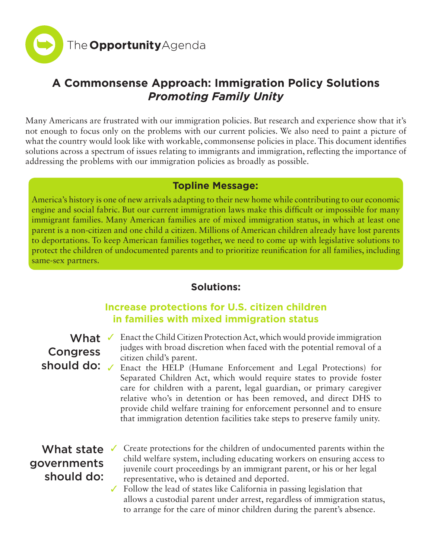

# **A Commonsense Approach: Immigration Policy Solutions** *Promoting Family Unity*

Many Americans are frustrated with our immigration policies. But research and experience show that it's not enough to focus only on the problems with our current policies. We also need to paint a picture of what the country would look like with workable, commonsense policies in place. This document identifies solutions across a spectrum of issues relating to immigrants and immigration, reflecting the importance of addressing the problems with our immigration policies as broadly as possible.

### **Topline Message:**

America's history is one of new arrivals adapting to their new home while contributing to our economic engine and social fabric. But our current immigration laws make this difficult or impossible for many immigrant families. Many American families are of mixed immigration status, in which at least one parent is a non-citizen and one child a citizen. Millions of American children already have lost parents to deportations. To keep American families together, we need to come up with legislative solutions to protect the children of undocumented parents and to prioritize reunification for all families, including same-sex partners.

### **Solutions:**

## **Increase protections for U.S. citizen children in families with mixed immigration status**

## What  $\checkmark$ Congress should do: /

- Enact the Child Citizen Protection Act, which would provide immigration judges with broad discretion when faced with the potential removal of a citizen child's parent.
	- Enact the HELP (Humane Enforcement and Legal Protections) for Separated Children Act, which would require states to provide foster care for children with a parent, legal guardian, or primary caregiver relative who's in detention or has been removed, and direct DHS to provide child welfare training for enforcement personnel and to ensure that immigration detention facilities take steps to preserve family unity.

# What state governments should do:

- Create protections for the children of undocumented parents within the child welfare system, including educating workers on ensuring access to juvenile court proceedings by an immigrant parent, or his or her legal representative, who is detained and deported.
- $\checkmark$  Follow the lead of states like California in passing legislation that allows a custodial parent under arrest, regardless of immigration status, to arrange for the care of minor children during the parent's absence.